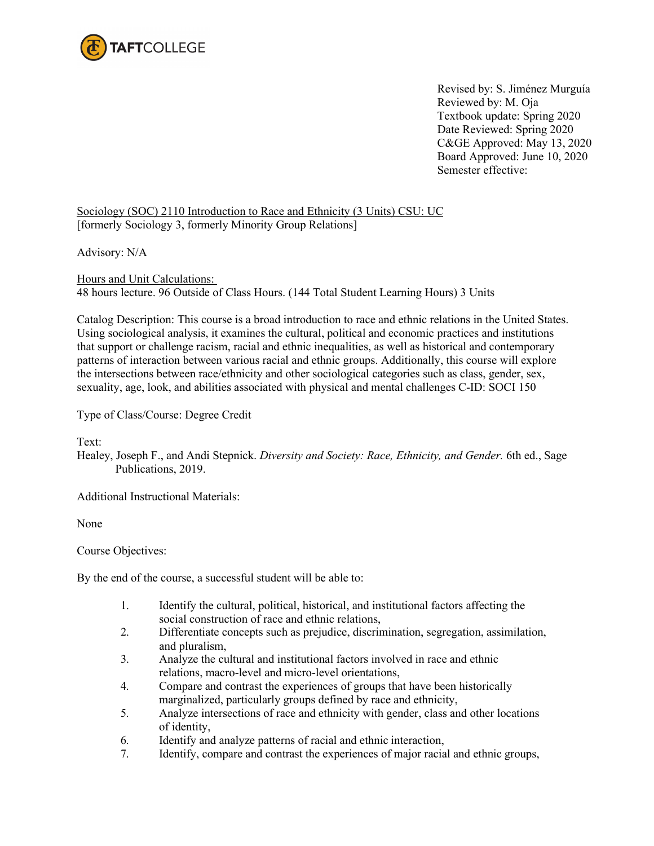

Revised by: S. Jiménez Murguía Reviewed by: M. Oja Textbook update: Spring 2020 Date Reviewed: Spring 2020 C&GE Approved: May 13, 2020 Board Approved: June 10, 2020 Semester effective:

Sociology (SOC) 2110 Introduction to Race and Ethnicity (3 Units) CSU: UC [formerly Sociology 3, formerly Minority Group Relations]

Advisory: N/A

Hours and Unit Calculations: 48 hours lecture. 96 Outside of Class Hours. (144 Total Student Learning Hours) 3 Units

Catalog Description: This course is a broad introduction to race and ethnic relations in the United States. Using sociological analysis, it examines the cultural, political and economic practices and institutions that support or challenge racism, racial and ethnic inequalities, as well as historical and contemporary patterns of interaction between various racial and ethnic groups. Additionally, this course will explore the intersections between race/ethnicity and other sociological categories such as class, gender, sex, sexuality, age, look, and abilities associated with physical and mental challenges C-ID: SOCI 150

Type of Class/Course: Degree Credit

Text:

Healey, Joseph F., and Andi Stepnick. *Diversity and Society: Race, Ethnicity, and Gender.* 6th ed., Sage Publications, 2019.

Additional Instructional Materials:

None

Course Objectives:

By the end of the course, a successful student will be able to:

- 1. Identify the cultural, political, historical, and institutional factors affecting the social construction of race and ethnic relations,
- 2. Differentiate concepts such as prejudice, discrimination, segregation, assimilation, and pluralism,
- 3. Analyze the cultural and institutional factors involved in race and ethnic relations, macro-level and micro-level orientations,
- 4. Compare and contrast the experiences of groups that have been historically marginalized, particularly groups defined by race and ethnicity,
- 5. Analyze intersections of race and ethnicity with gender, class and other locations of identity,
- 6. Identify and analyze patterns of racial and ethnic interaction,
- 7. Identify, compare and contrast the experiences of major racial and ethnic groups,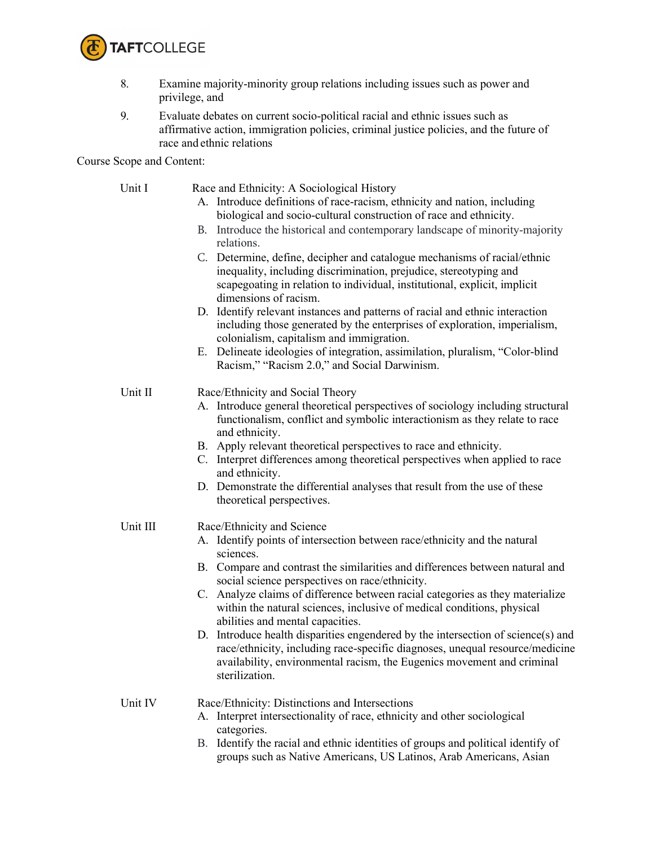

- 8. Examine majority-minority group relations including issues such as power and privilege, and
- 9. Evaluate debates on current socio-political racial and ethnic issues such as affirmative action, immigration policies, criminal justice policies, and the future of race and ethnic relations

Course Scope and Content:

| Unit I   | Race and Ethnicity: A Sociological History                                                                                                                                                                                                                   |
|----------|--------------------------------------------------------------------------------------------------------------------------------------------------------------------------------------------------------------------------------------------------------------|
|          | A. Introduce definitions of race-racism, ethnicity and nation, including                                                                                                                                                                                     |
|          | biological and socio-cultural construction of race and ethnicity.                                                                                                                                                                                            |
|          | B. Introduce the historical and contemporary landscape of minority-majority<br>relations.                                                                                                                                                                    |
|          | C. Determine, define, decipher and catalogue mechanisms of racial/ethnic<br>inequality, including discrimination, prejudice, stereotyping and<br>scapegoating in relation to individual, institutional, explicit, implicit<br>dimensions of racism.          |
|          | D. Identify relevant instances and patterns of racial and ethnic interaction<br>including those generated by the enterprises of exploration, imperialism,<br>colonialism, capitalism and immigration.                                                        |
|          | E. Delineate ideologies of integration, assimilation, pluralism, "Color-blind<br>Racism," "Racism 2.0," and Social Darwinism.                                                                                                                                |
| Unit II  | Race/Ethnicity and Social Theory                                                                                                                                                                                                                             |
|          | A. Introduce general theoretical perspectives of sociology including structural<br>functionalism, conflict and symbolic interactionism as they relate to race<br>and ethnicity.                                                                              |
|          | B. Apply relevant theoretical perspectives to race and ethnicity.                                                                                                                                                                                            |
|          | C. Interpret differences among theoretical perspectives when applied to race<br>and ethnicity.                                                                                                                                                               |
|          | D. Demonstrate the differential analyses that result from the use of these<br>theoretical perspectives.                                                                                                                                                      |
| Unit III | Race/Ethnicity and Science                                                                                                                                                                                                                                   |
|          | A. Identify points of intersection between race/ethnicity and the natural<br>sciences.                                                                                                                                                                       |
|          | B. Compare and contrast the similarities and differences between natural and<br>social science perspectives on race/ethnicity.                                                                                                                               |
|          | C. Analyze claims of difference between racial categories as they materialize<br>within the natural sciences, inclusive of medical conditions, physical<br>abilities and mental capacities.                                                                  |
|          | D. Introduce health disparities engendered by the intersection of science(s) and<br>race/ethnicity, including race-specific diagnoses, unequal resource/medicine<br>availability, environmental racism, the Eugenics movement and criminal<br>sterilization. |
| Unit IV  | Race/Ethnicity: Distinctions and Intersections                                                                                                                                                                                                               |
|          | A. Interpret intersectionality of race, ethnicity and other sociological<br>categories.                                                                                                                                                                      |
|          | B. Identify the racial and ethnic identities of groups and political identify of<br>groups such as Native Americans, US Latinos, Arab Americans, Asian                                                                                                       |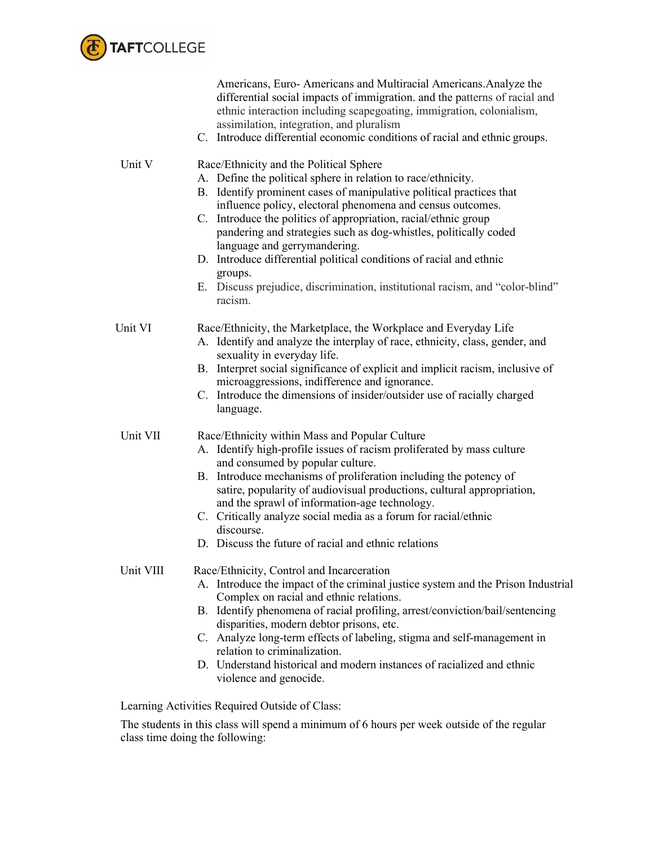

|           | Americans, Euro-Americans and Multiracial Americans. Analyze the<br>differential social impacts of immigration. and the patterns of racial and<br>ethnic interaction including scapegoating, immigration, colonialism,<br>assimilation, integration, and pluralism<br>C. Introduce differential economic conditions of racial and ethnic groups.                                                                                                                                                                                                                                                    |
|-----------|-----------------------------------------------------------------------------------------------------------------------------------------------------------------------------------------------------------------------------------------------------------------------------------------------------------------------------------------------------------------------------------------------------------------------------------------------------------------------------------------------------------------------------------------------------------------------------------------------------|
| Unit V    | Race/Ethnicity and the Political Sphere<br>A. Define the political sphere in relation to race/ethnicity.<br>B. Identify prominent cases of manipulative political practices that<br>influence policy, electoral phenomena and census outcomes.<br>C. Introduce the politics of appropriation, racial/ethnic group<br>pandering and strategies such as dog-whistles, politically coded<br>language and gerrymandering.<br>D. Introduce differential political conditions of racial and ethnic<br>groups.<br>E. Discuss prejudice, discrimination, institutional racism, and "color-blind"<br>racism. |
| Unit VI   | Race/Ethnicity, the Marketplace, the Workplace and Everyday Life<br>A. Identify and analyze the interplay of race, ethnicity, class, gender, and<br>sexuality in everyday life.<br>B. Interpret social significance of explicit and implicit racism, inclusive of<br>microaggressions, indifference and ignorance.<br>C. Introduce the dimensions of insider/outsider use of racially charged<br>language.                                                                                                                                                                                          |
| Unit VII  | Race/Ethnicity within Mass and Popular Culture<br>A. Identify high-profile issues of racism proliferated by mass culture<br>and consumed by popular culture.<br>B. Introduce mechanisms of proliferation including the potency of<br>satire, popularity of audiovisual productions, cultural appropriation,<br>and the sprawl of information-age technology.<br>C. Critically analyze social media as a forum for racial/ethnic<br>discourse.<br>D. Discuss the future of racial and ethnic relations                                                                                               |
| Unit VIII | Race/Ethnicity, Control and Incarceration<br>A. Introduce the impact of the criminal justice system and the Prison Industrial<br>Complex on racial and ethnic relations.<br>B. Identify phenomena of racial profiling, arrest/conviction/bail/sentencing<br>disparities, modern debtor prisons, etc.<br>C. Analyze long-term effects of labeling, stigma and self-management in<br>relation to criminalization.<br>D. Understand historical and modern instances of racialized and ethnic<br>violence and genocide.                                                                                 |

Learning Activities Required Outside of Class:

The students in this class will spend a minimum of 6 hours per week outside of the regular class time doing the following: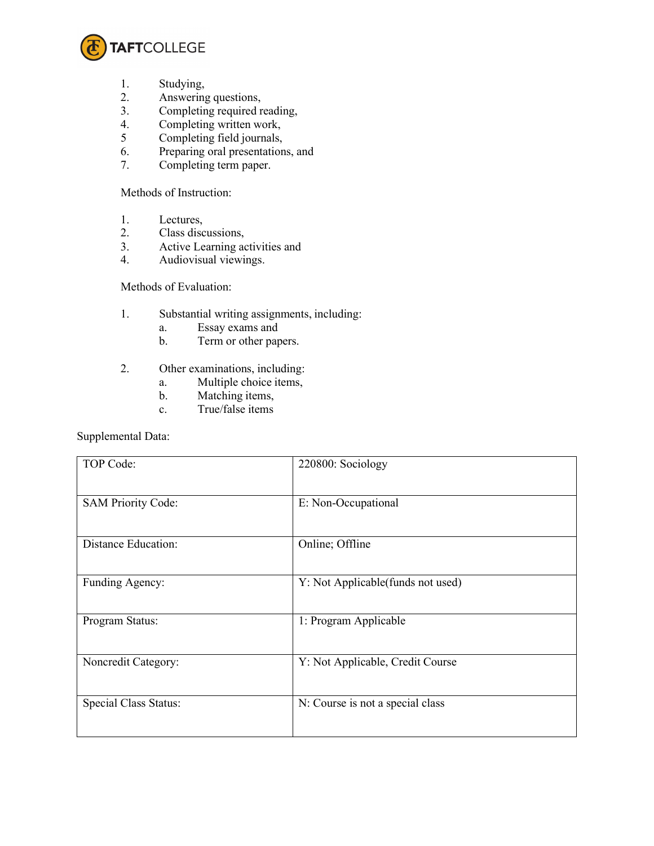

- 1. Studying,
- 2. Answering questions,
- 3. Completing required reading,<br>4. Completing written work,
- 4. Completing written work,<br>5 Completing field journals,
- Completing field journals,
- 6. Preparing oral presentations, and<br>7. Completing term paper.
- Completing term paper.

Methods of Instruction:

- 1. Lectures,
- 2. Class discussions,<br>3. Active Learning ac
- Active Learning activities and
- 4. Audiovisual viewings.

## Methods of Evaluation:

- 1. Substantial writing assignments, including:
	- a. Essay exams and
	- b. Term or other papers.
- 2. Other examinations, including:
	- a. Multiple choice items,
	- b. Matching items,
	- c. True/false items

Supplemental Data:

| TOP Code:                  | 220800: Sociology                 |
|----------------------------|-----------------------------------|
| <b>SAM Priority Code:</b>  | E: Non-Occupational               |
| <b>Distance Education:</b> | Online; Offline                   |
| Funding Agency:            | Y: Not Applicable(funds not used) |
| Program Status:            | 1: Program Applicable             |
| Noncredit Category:        | Y: Not Applicable, Credit Course  |
| Special Class Status:      | N: Course is not a special class  |